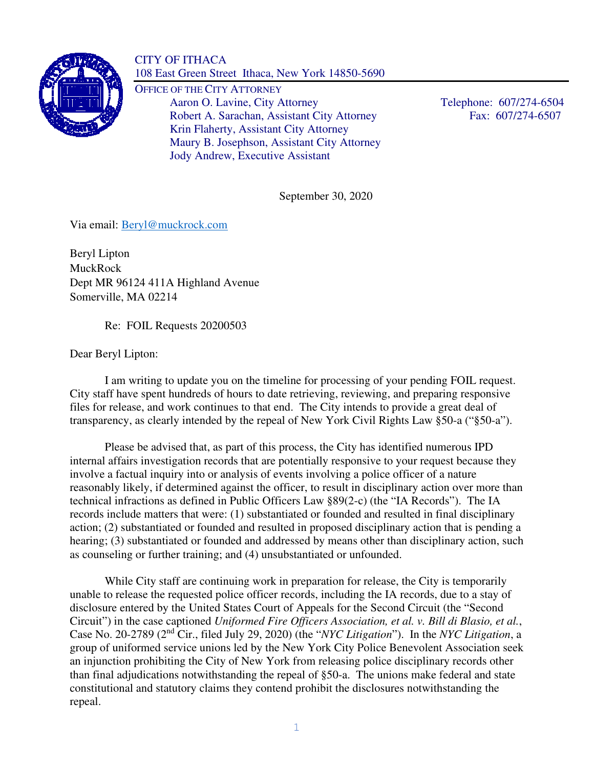

CITY OF ITHACA 108 East Green Street Ithaca, New York 14850-5690

OFFICE OF THE CITY ATTORNEY Aaron O. Lavine, City Attorney Telephone: 607/274-6504 Robert A. Sarachan, Assistant City Attorney Fax: 607/274-6507 Krin Flaherty, Assistant City Attorney Maury B. Josephson, Assistant City Attorney Jody Andrew, Executive Assistant

September 30, 2020

Via email: Beryl@muckrock.com

Beryl Lipton MuckRock Dept MR 96124 411A Highland Avenue Somerville, MA 02214

Re: FOIL Requests 20200503

Dear Beryl Lipton:

I am writing to update you on the timeline for processing of your pending FOIL request. City staff have spent hundreds of hours to date retrieving, reviewing, and preparing responsive files for release, and work continues to that end. The City intends to provide a great deal of transparency, as clearly intended by the repeal of New York Civil Rights Law §50-a ("§50-a").

 Please be advised that, as part of this process, the City has identified numerous IPD internal affairs investigation records that are potentially responsive to your request because they involve a factual inquiry into or analysis of events involving a police officer of a nature reasonably likely, if determined against the officer, to result in disciplinary action over more than technical infractions as defined in Public Officers Law §89(2-c) (the "IA Records"). The IA records include matters that were: (1) substantiated or founded and resulted in final disciplinary action; (2) substantiated or founded and resulted in proposed disciplinary action that is pending a hearing; (3) substantiated or founded and addressed by means other than disciplinary action, such as counseling or further training; and (4) unsubstantiated or unfounded.

While City staff are continuing work in preparation for release, the City is temporarily unable to release the requested police officer records, including the IA records, due to a stay of disclosure entered by the United States Court of Appeals for the Second Circuit (the "Second Circuit") in the case captioned *Uniformed Fire Officers Association, et al. v. Bill di Blasio, et al.*, Case No. 20-2789 (2nd Cir., filed July 29, 2020) (the "*NYC Litigation*"). In the *NYC Litigation*, a group of uniformed service unions led by the New York City Police Benevolent Association seek an injunction prohibiting the City of New York from releasing police disciplinary records other than final adjudications notwithstanding the repeal of §50-a. The unions make federal and state constitutional and statutory claims they contend prohibit the disclosures notwithstanding the repeal.